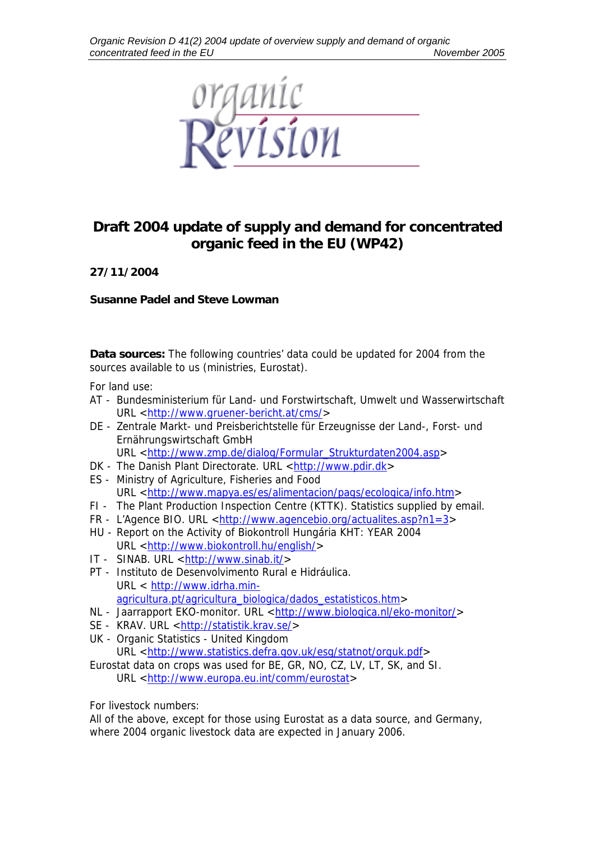

## **Draft 2004 update of supply and demand for concentrated organic feed in the EU (WP42)**

**27/11/2004** 

**Susanne Padel and Steve Lowman** 

**Data sources:** The following countries' data could be updated for 2004 from the sources available to us (ministries, Eurostat).

For land use:

- AT Bundesministerium für Land- und Forstwirtschaft, Umwelt und Wasserwirtschaft URL <[http://www.gruener-bericht.at/cms/>](http://www.gruener-bericht.at/cms/)
- DE Zentrale Markt- und Preisberichtstelle für Erzeugnisse der Land-, Forst- und Ernährungswirtschaft GmbH URL <[http://www.zmp.de/dialog/Formular\\_Strukturdaten2004.asp](http://www.zmp.de/dialog/Formular_Strukturdaten2004.asp)>
- DK The Danish Plant Directorate. URL [<http://www.pdir.dk](http://www.pdir.dk/)>
- ES Ministry of Agriculture, Fisheries and Food URL <[http://www.mapya.es/es/alimentacion/pags/ecologica/info.htm>](http://www.mapya.es/es/alimentacion/pags/ecologica/info.htm)
- FI The Plant Production Inspection Centre (KTTK). Statistics supplied by email.
- FR L'Agence BIO. URL <<http://www.agencebio.org/actualites.asp?n1=3>>
- HU Report on the Activity of Biokontroll Hungária KHT: YEAR 2004 URL <<http://www.biokontroll.hu/english/>>
- IT SINAB. URL [<http://www.sinab.it/>](http://www.sinab.it/)
- PT Instituto de Desenvolvimento Rural e Hidráulica. URL < [http://www.idrha.min](http://www.idrha.min-agricultura.pt/agricultura_biologica/dados_estatisticos.htm)[agricultura.pt/agricultura\\_biologica/dados\\_estatisticos.htm>](http://www.idrha.min-agricultura.pt/agricultura_biologica/dados_estatisticos.htm)
- NL Jaarrapport EKO-monitor. URL [<http://www.biologica.nl/eko-monitor/>](http://www.biologica.nl/eko-monitor/)
- SE KRAV. URL <<http://statistik.krav.se/>>
- UK Organic Statistics United Kingdom

URL <<http://www.statistics.defra.gov.uk/esg/statnot/orguk.pdf>>

Eurostat data on crops was used for BE, GR, NO, CZ, LV, LT, SK, and SI. URL <[http://www.europa.eu.int/comm/eurostat>](http://www.europa.eu.int/comm/eurostat)

For livestock numbers:

All of the above, except for those using Eurostat as a data source, and Germany, where 2004 organic livestock data are expected in January 2006.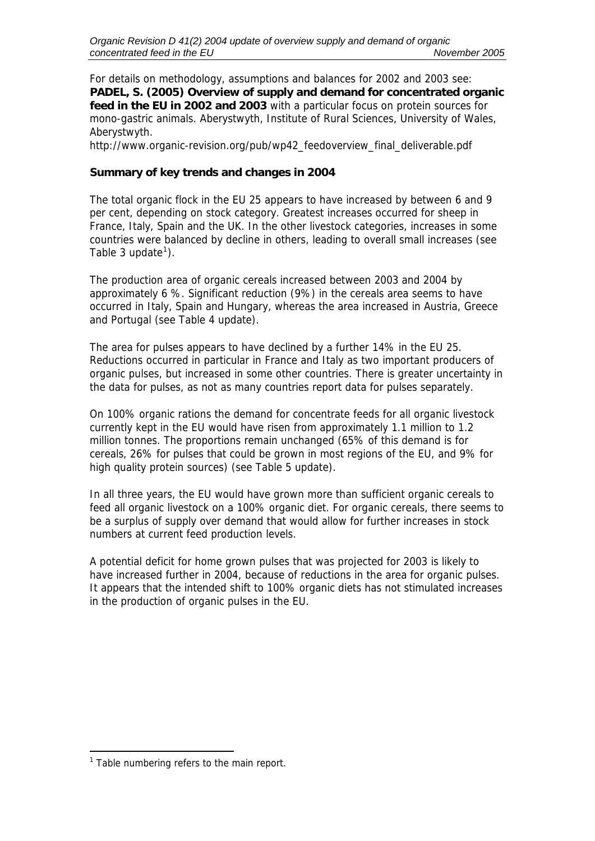For details on methodology, assumptions and balances for 2002 and 2003 see: **PADEL, S. (2005) Overview of supply and demand for concentrated organic feed in the EU in 2002 and 2003** with a particular focus on protein sources for mono-gastric animals. Aberystwyth, Institute of Rural Sciences, University of Wales, Aberystwyth.

http://www.organic-revision.org/pub/wp42\_feedoverview\_final\_deliverable.pdf

## **Summary of key trends and changes in 2004**

The total organic flock in the EU 25 appears to have increased by between 6 and 9 per cent, depending on stock category. Greatest increases occurred for sheep in France, Italy, Spain and the UK. In the other livestock categories, increases in some countries were balanced by decline in others, leading to overall small increases (see Table 3 update $^1$  $^1$ ).

The production area of organic cereals increased between 2003 and 2004 by approximately 6 %. Significant reduction (9%) in the cereals area seems to have occurred in Italy, Spain and Hungary, whereas the area increased in Austria, Greece and Portugal (see Table 4 update).

The area for pulses appears to have declined by a further 14% in the EU 25. Reductions occurred in particular in France and Italy as two important producers of organic pulses, but increased in some other countries. There is greater uncertainty in the data for pulses, as not as many countries report data for pulses separately.

On 100% organic rations the demand for concentrate feeds for all organic livestock currently kept in the EU would have risen from approximately 1.1 million to 1.2 million tonnes. The proportions remain unchanged (65% of this demand is for cereals, 26% for pulses that could be grown in most regions of the EU, and 9% for high quality protein sources) (see Table 5 update).

In all three years, the EU would have grown more than sufficient organic cereals to feed all organic livestock on a 100% organic diet. For organic cereals, there seems to be a surplus of supply over demand that would allow for further increases in stock numbers at current feed production levels.

A potential deficit for home grown pulses that was projected for 2003 is likely to have increased further in 2004, because of reductions in the area for organic pulses. It appears that the intended shift to 100% organic diets has not stimulated increases in the production of organic pulses in the EU.

<span id="page-1-0"></span><sup>-</sup><sup>1</sup> Table numbering refers to the main report.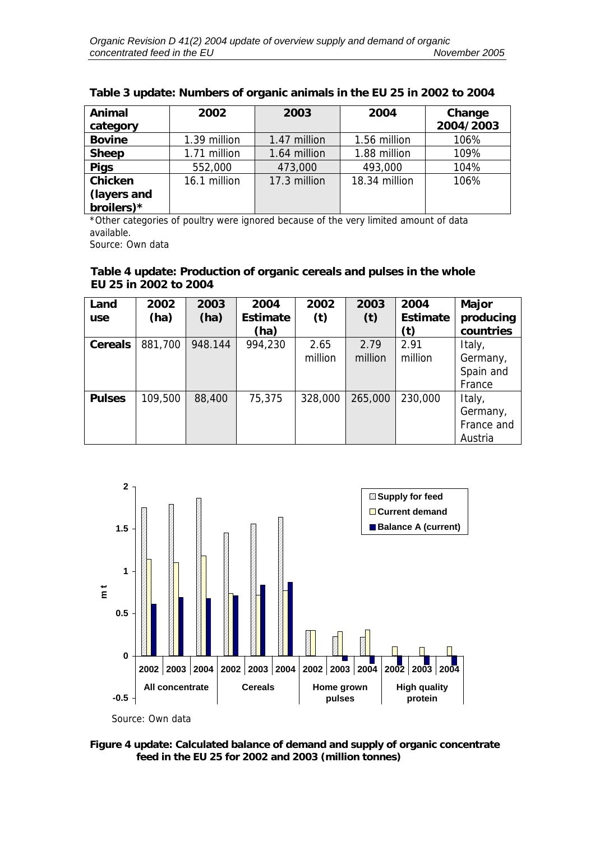| Animal        | 2002         | 2003         | 2004          | Change    |  |
|---------------|--------------|--------------|---------------|-----------|--|
| category      |              |              |               | 2004/2003 |  |
| <b>Bovine</b> | 1.39 million | 1.47 million | 1.56 million  | 106%      |  |
| <b>Sheep</b>  | 1.71 million | 1.64 million | 1.88 million  | 109%      |  |
| <b>Pigs</b>   | 552,000      | 473,000      | 493,000       | 104%      |  |
| Chicken       | 16.1 million | 17.3 million | 18.34 million | 106%      |  |
| (layers and   |              |              |               |           |  |
| broilers)*    |              |              |               |           |  |

## **Table 3 update: Numbers of organic animals in the EU 25 in 2002 to 2004**

\*Other categories of poultry were ignored because of the very limited amount of data available.

Source: Own data

## **Table 4 update: Production of organic cereals and pulses in the whole EU 25 in 2002 to 2004**

| Land<br><b>use</b> | 2002<br>(ha) | 2003<br>(ha) | 2004<br><b>Estimate</b><br>(ha) | 2002<br>(t)     | 2003<br>(t)     | 2004<br><b>Estimate</b><br>(t) | <b>Major</b><br>producing<br>countries      |
|--------------------|--------------|--------------|---------------------------------|-----------------|-----------------|--------------------------------|---------------------------------------------|
| <b>Cereals</b>     | 881,700      | 948.144      | 994,230                         | 2.65<br>million | 2.79<br>million | 2.91<br>million                | Italy,<br>Germany,<br>Spain and<br>France   |
| <b>Pulses</b>      | 109,500      | 88,400       | 75,375                          | 328,000         | 265,000         | 230,000                        | Italy,<br>Germany,<br>France and<br>Austria |



**Figure 4 update: Calculated balance of demand and supply of organic concentrate feed in the EU 25 for 2002 and 2003 (million tonnes)**